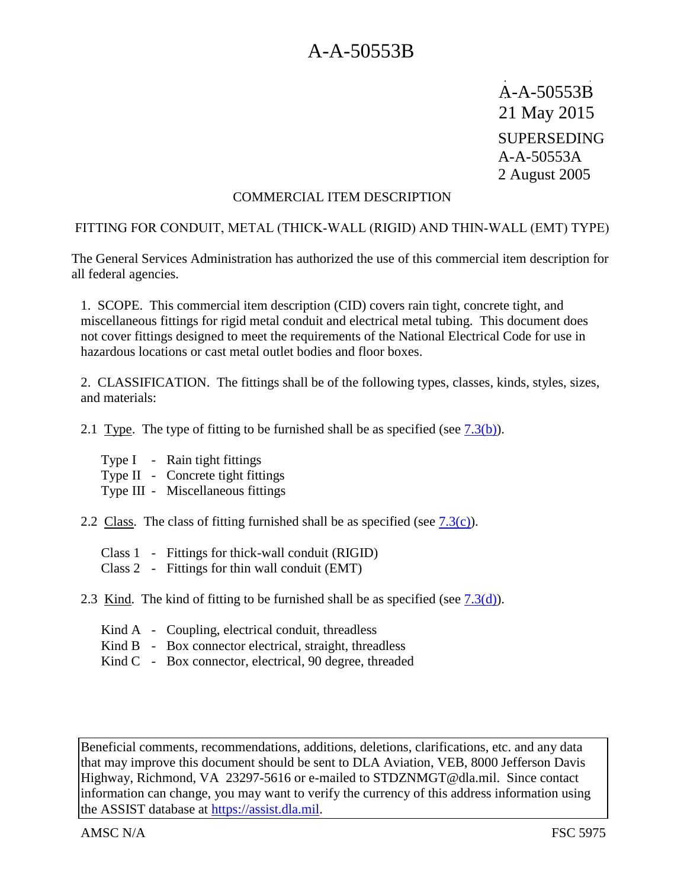A-A-50553B 21 May 2015 SUPERSEDING A-A-50553A 2 August 2005

#### COMMERCIAL ITEM DESCRIPTION

#### FITTING FOR CONDUIT, METAL (THICK-WALL (RIGID) AND THIN-WALL (EMT) TYPE)

The General Services Administration has authorized the use of this commercial item description for all federal agencies.

1. SCOPE. This commercial item description (CID) covers rain tight, concrete tight, and miscellaneous fittings for rigid metal conduit and electrical metal tubing. This document does not cover fittings designed to meet the requirements of the National Electrical Code for use in hazardous locations or cast metal outlet bodies and floor boxes.

2. CLASSIFICATION. The fittings shall be of the following types, classes, kinds, styles, sizes, and materials:

2.1 Type. The type of fitting to be furnished shall be as specified (see  $(7.3(b))$ ).

- Type I Rain tight fittings
- Type II Concrete tight fittings
- Type III Miscellaneous fittings
- 2.2 Class. The class of fitting furnished shall be as specified (see  $7.3(c)$ ).
	- Class 1 Fittings for thick-wall conduit (RIGID)
	- Class 2 Fittings for thin wall conduit (EMT)
- 2.3 Kind. The kind of fitting to be furnished shall be as specified (see  $(7.3(d))$ ).
	- Kind A Coupling, electrical conduit, threadless
	- Kind B Box connector electrical, straight, threadless
	- Kind C Box connector, electrical, 90 degree, threaded

Beneficial comments, recommendations, additions, deletions, clarifications, etc. and any data that may improve this document should be sent to DLA Aviation, VEB, 8000 Jefferson Davis Highway, Richmond, VA 23297-5616 or e-mailed to STDZNMGT@dla.mil. Since contact information can change, you may want to verify the currency of this address information using the ASSIST database at https://assist.dla.mil.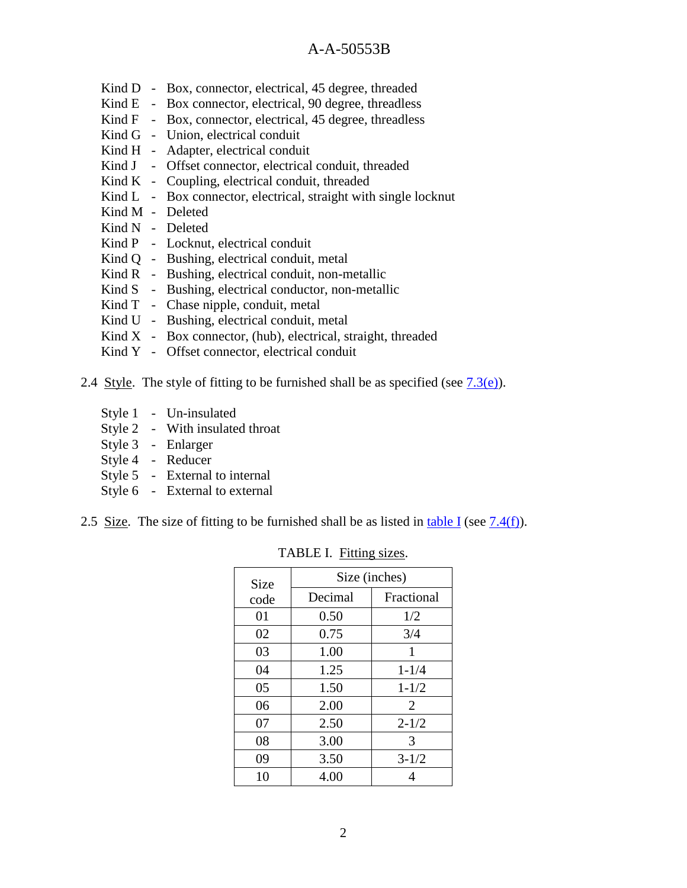- Kind D Box, connector, electrical, 45 degree, threaded
- Kind E Box connector, electrical, 90 degree, threadless
- Kind F Box, connector, electrical, 45 degree, threadless
- Kind G Union, electrical conduit
- Kind H Adapter, electrical conduit
- Kind J Offset connector, electrical conduit, threaded
- Kind K Coupling, electrical conduit, threaded
- Kind L Box connector, electrical, straight with single locknut
- Kind M Deleted
- Kind N Deleted
- Kind P Locknut, electrical conduit
- Kind Q Bushing, electrical conduit, metal
- Kind R Bushing, electrical conduit, non-metallic
- Kind S Bushing, electrical conductor, non-metallic
- Kind T Chase nipple, conduit, metal
- Kind U Bushing, electrical conduit, metal
- Kind  $X Box$  connector, (hub), electrical, straight, threaded
- Kind Y Offset connector, electrical conduit
- 2.4 Style. The style of fitting to be furnished shall be as specified (see  $(7.3(e))$ ).
	- Style 1 Un-insulated
	- Style 2 With insulated throat
	- Style 3 Enlarger
	- Style 4 Reducer
	- Style 5 External to internal
	- Style 6 External to external
- 2.5 Size. The size of fitting to be furnished shall be as listed in table I (see  $7.4(f)$ ).

| Size | Size (inches) |                |  |  |  |
|------|---------------|----------------|--|--|--|
| code | Decimal       | Fractional     |  |  |  |
| 01   | 0.50          | 1/2            |  |  |  |
| 02   | 0.75          | 3/4            |  |  |  |
| 03   | 1.00          | 1              |  |  |  |
| 04   | 1.25          | $1 - 1/4$      |  |  |  |
| 05   | 1.50          | $1 - 1/2$      |  |  |  |
| 06   | 2.00          | $\overline{2}$ |  |  |  |
| 07   | 2.50          | $2 - 1/2$      |  |  |  |
| 08   | 3.00          | 3              |  |  |  |
| 09   | 3.50          | $3 - 1/2$      |  |  |  |
| 10   | 4.00          |                |  |  |  |

TABLE I. Fitting sizes.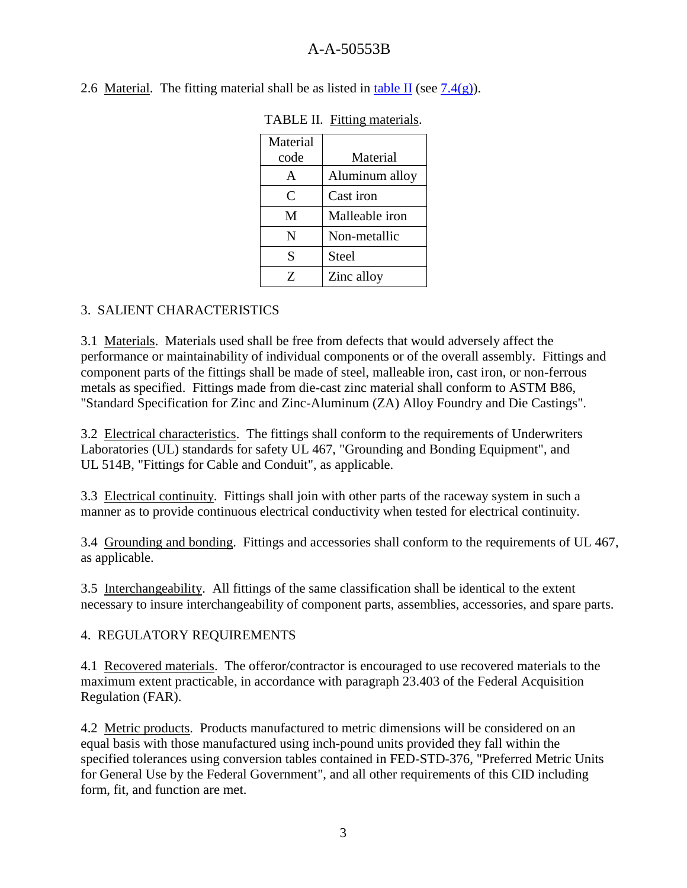| Material<br>code | Material       |  |  |  |  |
|------------------|----------------|--|--|--|--|
|                  |                |  |  |  |  |
| A                | Aluminum alloy |  |  |  |  |
| C                | Cast iron      |  |  |  |  |
| М                | Malleable iron |  |  |  |  |
| N                | Non-metallic   |  |  |  |  |
| S                | Steel          |  |  |  |  |
| 7.               | Zinc alloy     |  |  |  |  |

TABLE II. Fitting materials.

2.6 Material. The fitting material shall be as listed in table II (see  $7.4(g)$ ).

# 3. SALIENT CHARACTERISTICS

3.1 Materials. Materials used shall be free from defects that would adversely affect the performance or maintainability of individual components or of the overall assembly. Fittings and component parts of the fittings shall be made of steel, malleable iron, cast iron, or non-ferrous metals as specified. Fittings made from die-cast zinc material shall conform to ASTM B86, "Standard Specification for Zinc and Zinc-Aluminum (ZA) Alloy Foundry and Die Castings".

3.2 Electrical characteristics. The fittings shall conform to the requirements of Underwriters Laboratories (UL) standards for safety UL 467, "Grounding and Bonding Equipment", and UL 514B, "Fittings for Cable and Conduit", as applicable.

3.3 Electrical continuity. Fittings shall join with other parts of the raceway system in such a manner as to provide continuous electrical conductivity when tested for electrical continuity.

3.4 Grounding and bonding. Fittings and accessories shall conform to the requirements of UL 467, as applicable.

3.5 Interchangeability. All fittings of the same classification shall be identical to the extent necessary to insure interchangeability of component parts, assemblies, accessories, and spare parts.

#### 4. REGULATORY REQUIREMENTS

4.1 Recovered materials. The offeror/contractor is encouraged to use recovered materials to the maximum extent practicable, in accordance with paragraph 23.403 of the Federal Acquisition Regulation (FAR).

4.2 Metric products. Products manufactured to metric dimensions will be considered on an equal basis with those manufactured using inch-pound units provided they fall within the specified tolerances using conversion tables contained in FED-STD-376, "Preferred Metric Units for General Use by the Federal Government", and all other requirements of this CID including form, fit, and function are met.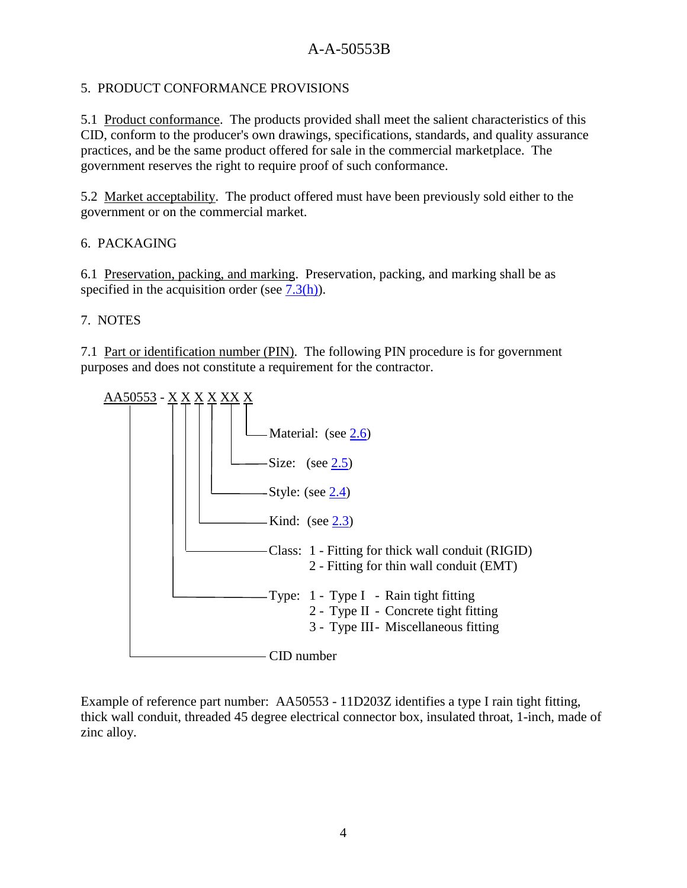## 5. PRODUCT CONFORMANCE PROVISIONS

5.1 Product conformance. The products provided shall meet the salient characteristics of this CID, conform to the producer's own drawings, specifications, standards, and quality assurance practices, and be the same product offered for sale in the commercial marketplace. The government reserves the right to require proof of such conformance.

5.2 Market acceptability. The product offered must have been previously sold either to the government or on the commercial market.

## 6. PACKAGING

6.1 Preservation, packing, and marking. Preservation, packing, and marking shall be as specified in the acquisition order (see  $7.3(h)$ ).

## 7. NOTES

7.1 Part or identification number (PIN). The following PIN procedure is for government purposes and does not constitute a requirement for the contractor.



Example of reference part number: AA50553 - 11D203Z identifies a type I rain tight fitting, thick wall conduit, threaded 45 degree electrical connector box, insulated throat, 1-inch, made of zinc alloy.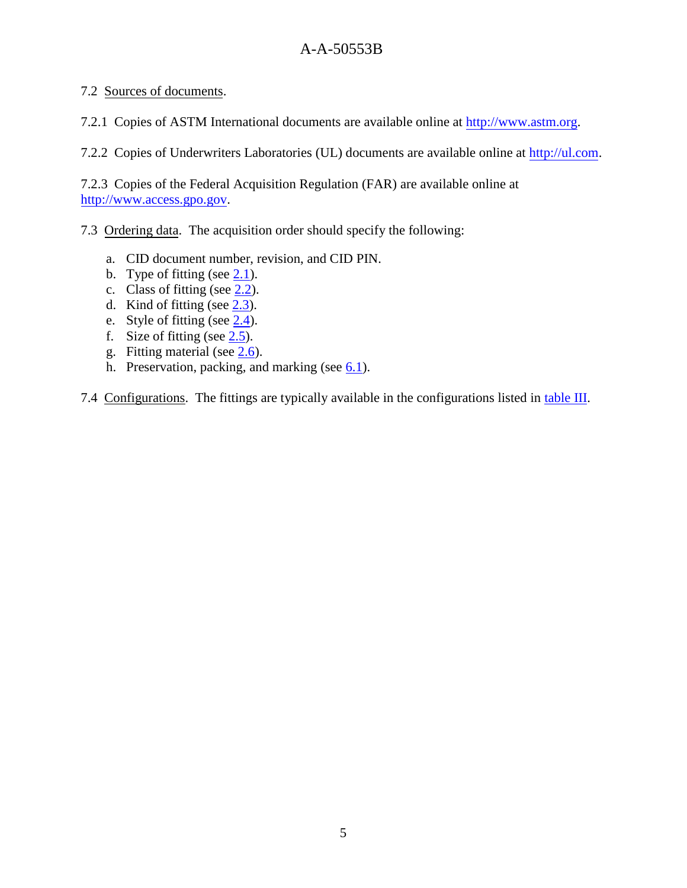#### 7.2 Sources of documents.

7.2.1 Copies of ASTM International documents are available online at http://www.astm.org.

7.2.2 Copies of Underwriters Laboratories (UL) documents are available online at http://ul.com.

7.2.3 Copies of the Federal Acquisition Regulation (FAR) are available online at http://www.access.gpo.gov.

#### 7.3 Ordering data. The acquisition order should specify the following:

- a. CID document number, revision, and CID PIN.
- b. Type of fitting (see 2.1).
- c. Class of fitting (see  $2.2$ ).
- d. Kind of fitting (see  $2.3$ ).
- e. Style of fitting (see 2.4).
- f. Size of fitting (see 2.5).
- g. Fitting material (see 2.6).
- h. Preservation, packing, and marking (see  $6.1$ ).

7.4 Configurations. The fittings are typically available in the configurations listed in table III.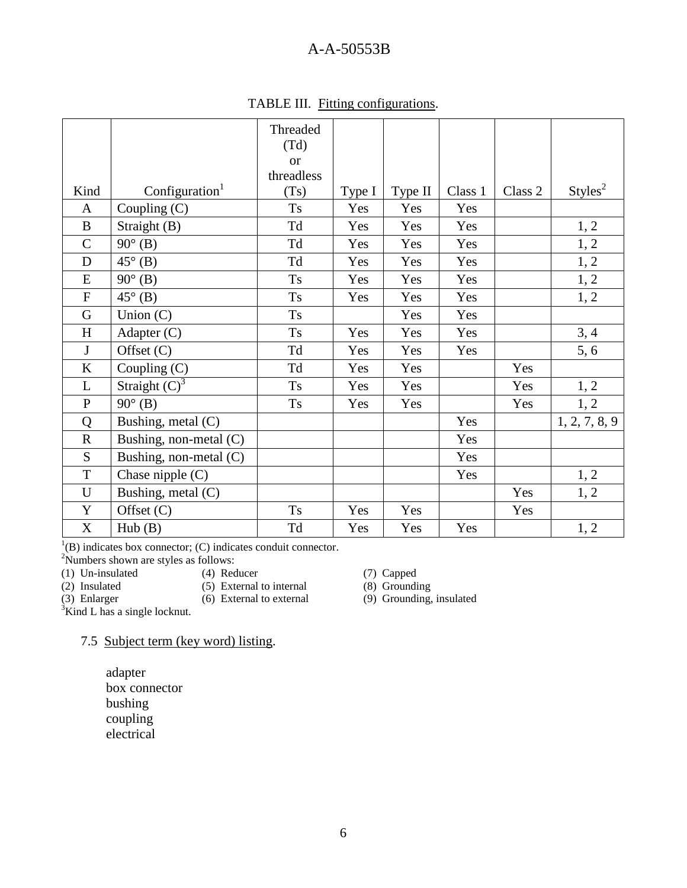|                  |                            | Threaded             |        |         |         |         |                     |
|------------------|----------------------------|----------------------|--------|---------|---------|---------|---------------------|
|                  |                            | (Td)                 |        |         |         |         |                     |
|                  |                            | <b>or</b>            |        |         |         |         |                     |
|                  |                            | threadless           |        |         |         |         |                     |
| Kind             | Configuration <sup>1</sup> | (Ts)                 | Type I | Type II | Class 1 | Class 2 | Styles <sup>2</sup> |
| $\mathbf{A}$     | Coupling (C)               | <b>Ts</b>            | Yes    | Yes     | Yes     |         |                     |
| $\, {\bf B}$     | Straight (B)               | Td                   | Yes    | Yes     | Yes     |         | 1, 2                |
| $\mathcal{C}$    | $90^{\circ}$ (B)           | Td                   | Yes    | Yes     | Yes     |         | 1, 2                |
| D                | $45^\circ$ (B)             | Td                   | Yes    | Yes     | Yes     |         | 1, 2                |
| E                | $90^\circ$ (B)             | $\mathop{\hbox{Ts}}$ | Yes    | Yes     | Yes     |         | 1, 2                |
| ${\bf F}$        | $45^\circ$ (B)             | <b>Ts</b>            | Yes    | Yes     | Yes     |         | 1, 2                |
| G                | Union $(C)$                | $\mathop{\hbox{Ts}}$ |        | Yes     | Yes     |         |                     |
| H                | Adapter $(C)$              | <b>Ts</b>            | Yes    | Yes     | Yes     |         | 3, 4                |
| J                | Offset (C)                 | Td                   | Yes    | Yes     | Yes     |         | 5, 6                |
| $\rm K$          | Coupling (C)               | Td                   | Yes    | Yes     |         | Yes     |                     |
| L                | Straight $(C)^3$           | Ts                   | Yes    | Yes     |         | Yes     | 1, 2                |
| ${\bf P}$        | $90^\circ$ (B)             | Ts                   | Yes    | Yes     |         | Yes     | 1, 2                |
| Q                | Bushing, metal (C)         |                      |        |         | Yes     |         | 1, 2, 7, 8, 9       |
| ${\bf R}$        | Bushing, non-metal (C)     |                      |        |         | Yes     |         |                     |
| S                | Bushing, non-metal (C)     |                      |        |         | Yes     |         |                     |
| $\mathbf T$      | Chase nipple (C)           |                      |        |         | Yes     |         | 1, 2                |
| U                | Bushing, metal (C)         |                      |        |         |         | Yes     | 1, 2                |
| $\mathbf Y$      | Offset $(C)$               | <b>Ts</b>            | Yes    | Yes     |         | Yes     |                     |
| $\boldsymbol{X}$ | Hub(B)                     | Td                   | Yes    | Yes     | Yes     |         | 1, 2                |

TABLE III. Fitting configurations.

 $<sup>1</sup>(B)$  indicates box connector; (C) indicates conduit connector.</sup>

 $2$ Numbers shown are styles as follows:

- 
- (1) Un-insulated (4) Reducer (7) Capped<br>
(2) Insulated (5) External to internal (8) Groundi (2) Insulated (5) External to internal (3) Enlarger (6) External to external
- 

(3)  $Grypez$ <br>(8)  $Grounding$ <br>(9)  $Grounding$ , insulated

 $\overrightarrow{3}$ Kind L has a single locknut.

#### 7.5 Subject term (key word) listing.

adapter box connector bushing coupling electrical